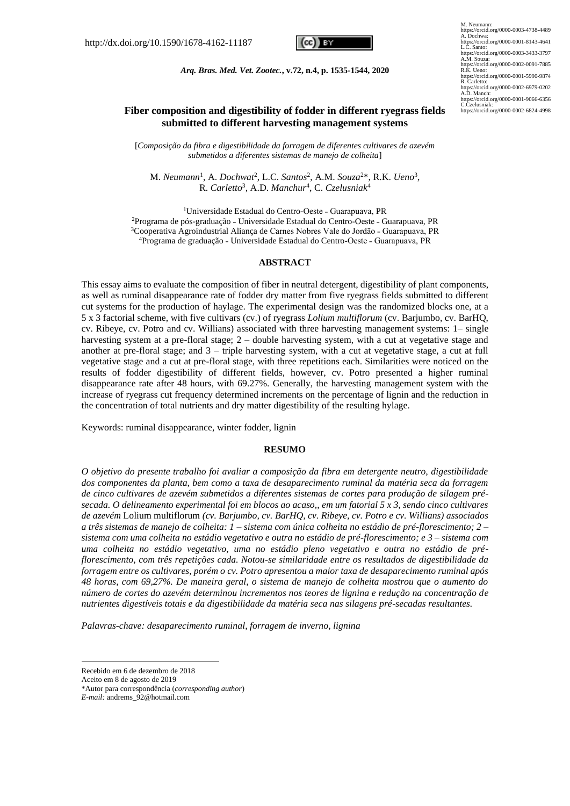

*Arq. Bras. Med. Vet. Zootec.***, v.72, n.4, p. 1535-1544, 2020**

M. Neumann: https://orcid.org/0000-0003-4738-4489 A. Dochwa: https://orcid.org/0000-0001-8143-4641 L.C. Santo: https://orcid.org/0000-0003-3433-3797 A.M. Souza: https://orcid.org/0000-0002-0091-7885 R.K. Ueno: https://orcid.org/0000-0001-5990-9874 R. Carletto: https://orcid.org/0000-0002-6979-0202 A.D. Manch: https://orcid.org/0000-0001-9066-6356 C.Czelusniak: https://orcid.org/0000-0002-6824-4998

# **Fiber composition and digestibility of fodder in different ryegrass fields submitted to different harvesting management systems**

[*Composição da fibra e digestibilidade da forragem de diferentes cultivares de azevém submetidos a diferentes sistemas de manejo de colheita*]

M. *Neumann*<sup>1</sup> , A. *Dochwat*<sup>2</sup> , L.C. *Santos*<sup>2</sup> , A.M. *Souza*<sup>2</sup>\*, R.K. *Ueno*<sup>3</sup> , R. *Carletto*<sup>3</sup> , A.D. *Manchur*<sup>4</sup> , C. *Czelusniak*<sup>4</sup>

<sup>1</sup>Universidade Estadual do Centro-Oeste - Guarapuava, PR <sup>2</sup>Programa de pós-graduação - Universidade Estadual do Centro-Oeste - Guarapuava, PR <sup>3</sup>Cooperativa Agroindustrial Alianca de Carnes Nobres Vale do Jordão - Guarapuava, PR <sup>4</sup>Programa de graduação - Universidade Estadual do Centro-Oeste - Guarapuava, PR

#### **ABSTRACT**

This essay aims to evaluate the composition of fiber in neutral detergent, digestibility of plant components, as well as ruminal disappearance rate of fodder dry matter from five ryegrass fields submitted to different cut systems for the production of haylage. The experimental design was the randomized blocks one, at a 5 x 3 factorial scheme, with five cultivars (cv.) of ryegrass *Lolium multiflorum* (cv. Barjumbo, cv. BarHQ, cv. Ribeye, cv. Potro and cv. Willians) associated with three harvesting management systems: 1– single harvesting system at a pre-floral stage; 2 – double harvesting system, with a cut at vegetative stage and another at pre-floral stage; and 3 – triple harvesting system, with a cut at vegetative stage, a cut at full vegetative stage and a cut at pre-floral stage, with three repetitions each. Similarities were noticed on the results of fodder digestibility of different fields, however, cv. Potro presented a higher ruminal disappearance rate after 48 hours, with 69.27%. Generally, the harvesting management system with the increase of ryegrass cut frequency determined increments on the percentage of lignin and the reduction in the concentration of total nutrients and dry matter digestibility of the resulting hylage.

Keywords: ruminal disappearance, winter fodder, lignin

#### **RESUMO**

*O objetivo do presente trabalho foi avaliar a composição da fibra em detergente neutro, digestibilidade dos componentes da planta, bem como a taxa de desaparecimento ruminal da matéria seca da forragem de cinco cultivares de azevém submetidos a diferentes sistemas de cortes para produção de silagem présecada. O delineamento experimental foi em blocos ao acaso,, em um fatorial 5 x 3, sendo cinco cultivares de azevém* Lolium multiflorum *(cv. Barjumbo, cv. BarHQ, cv. Ribeye, cv. Potro e cv. Willians) associados a três sistemas de manejo de colheita: 1 – sistema com única colheita no estádio de pré-florescimento; 2 – sistema com uma colheita no estádio vegetativo e outra no estádio de pré-florescimento; e 3 – sistema com uma colheita no estádio vegetativo, uma no estádio pleno vegetativo e outra no estádio de préflorescimento, com três repetições cada. Notou-se similaridade entre os resultados de digestibilidade da forragem entre os cultivares, porém o cv. Potro apresentou a maior taxa de desaparecimento ruminal após 48 horas, com 69,27%. De maneira geral, o sistema de manejo de colheita mostrou que o aumento do número de cortes do azevém determinou incrementos nos teores de lignina e redução na concentração de nutrientes digestíveis totais e da digestibilidade da matéria seca nas silagens pré-secadas resultantes.*

*Palavras-chave: desaparecimento ruminal, forragem de inverno, lignina*

Recebido em 6 de dezembro de 2018

Aceito em 8 de agosto de 2019

<sup>\*</sup>Autor para correspondência (*corresponding author*)

*E-mail:* andrems\_92@hotmail.com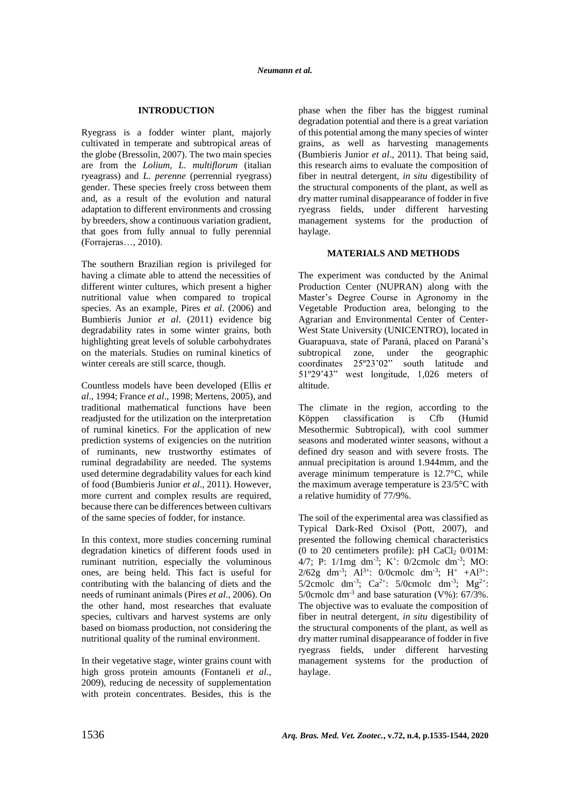### **INTRODUCTION**

Ryegrass is a fodder winter plant, majorly cultivated in temperate and subtropical areas of the globe (Bressolin, 2007). The two main species are from the *Lolium, L. multiflorum* (italian ryeagrass) and *L. perenne* (perrennial ryegrass) gender. These species freely cross between them and, as a result of the evolution and natural adaptation to different environments and crossing by breeders, show a continuous variation gradient, that goes from fully annual to fully perennial (Forrajeras…, 2010).

The southern Brazilian region is privileged for having a climate able to attend the necessities of different winter cultures, which present a higher nutritional value when compared to tropical species. As an example, Pires *et al*. (2006) and Bumbieris Junior *et al*. (2011) evidence big degradability rates in some winter grains, both highlighting great levels of soluble carbohydrates on the materials. Studies on ruminal kinetics of winter cereals are still scarce, though.

Countless models have been developed (Ellis *et al*., 1994; France *et al*., 1998; Mertens, 2005), and traditional mathematical functions have been readjusted for the utilization on the interpretation of ruminal kinetics. For the application of new prediction systems of exigencies on the nutrition of ruminants, new trustworthy estimates of ruminal degradability are needed. The systems used determine degradability values for each kind of food (Bumbieris Junior *et al*., 2011). However, more current and complex results are required, because there can be differences between cultivars of the same species of fodder, for instance.

In this context, more studies concerning ruminal degradation kinetics of different foods used in ruminant nutrition, especially the voluminous ones, are being held. This fact is useful for contributing with the balancing of diets and the needs of ruminant animals (Pires *et al*., 2006). On the other hand, most researches that evaluate species, cultivars and harvest systems are only based on biomass production, not considering the nutritional quality of the ruminal environment.

In their vegetative stage, winter grains count with high gross protein amounts (Fontaneli *et al*., 2009), reducing de necessity of supplementation with protein concentrates. Besides, this is the phase when the fiber has the biggest ruminal degradation potential and there is a great variation of this potential among the many species of winter grains, as well as harvesting managements (Bumbieris Junior *et al*., 2011). That being said, this research aims to evaluate the composition of fiber in neutral detergent, *in situ* digestibility of the structural components of the plant, as well as dry matter ruminal disappearance of fodder in five ryegrass fields, under different harvesting management systems for the production of haylage.

#### **MATERIALS AND METHODS**

The experiment was conducted by the Animal Production Center (NUPRAN) along with the Master's Degree Course in Agronomy in the Vegetable Production area, belonging to the Agrarian and Environmental Center of Center-West State University (UNICENTRO), located in Guarapuava, state of Paraná, placed on Paraná's subtropical zone, under the geographic coordinates 25º23'02" south latitude and 51º29'43" west longitude, 1,026 meters of altitude.

The climate in the region, according to the Köppen classification is Cfb (Humid Mesothermic Subtropical), with cool summer seasons and moderated winter seasons, without a defined dry season and with severe frosts. The annual precipitation is around 1.944mm, and the average minimum temperature is 12.7°C, while the maximum average temperature is 23/5°C with a relative humidity of 77/9%.

The soil of the experimental area was classified as Typical Dark-Red Oxisol (Pott, 2007), and presented the following chemical characteristics (0 to 20 centimeters profile): pH  $CaCl<sub>2</sub> 0/01M$ : 4/7; P:  $1/\text{Img dm}^{-3}$ ; K<sup>+</sup>:  $0/2$ cmolc dm<sup>-3</sup>; MO:  $2/62g$  dm<sup>-3</sup>; Al<sup>3+</sup>: 0/0cmolc dm<sup>-3</sup>; H<sup>+</sup> +Al<sup>3+</sup>: 5/2cmolc dm<sup>-3</sup>; Ca<sup>2+</sup>: 5/0cmolc dm<sup>-3</sup>; Mg<sup>2+</sup>: 5/0cmolc dm-3 and base saturation (V%): 67/3%. The objective was to evaluate the composition of fiber in neutral detergent, *in situ* digestibility of the structural components of the plant, as well as dry matter ruminal disappearance of fodder in five ryegrass fields, under different harvesting management systems for the production of haylage.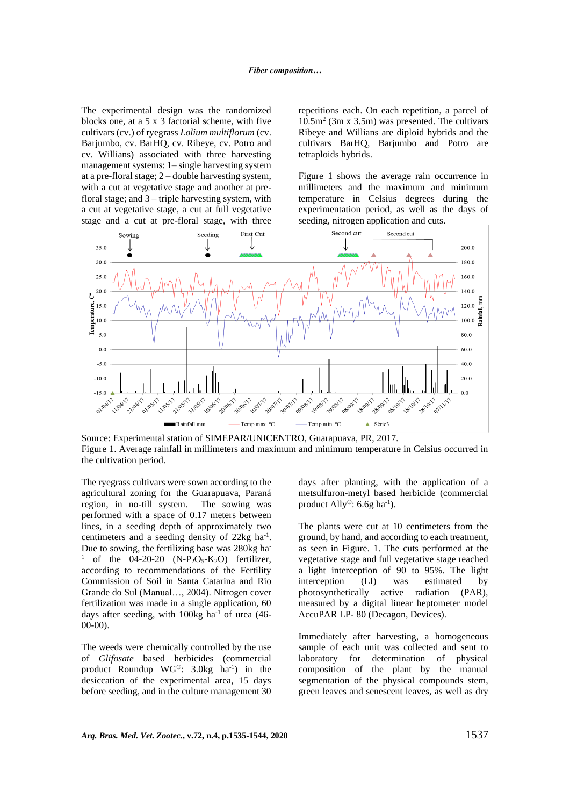The experimental design was the randomized blocks one, at a 5 x 3 factorial scheme, with five cultivars (cv.) of ryegrass *Lolium multiflorum* (cv. Barjumbo, cv. BarHQ, cv. Ribeye, cv. Potro and cv. Willians) associated with three harvesting management systems: 1– single harvesting system at a pre-floral stage; 2 – double harvesting system, with a cut at vegetative stage and another at prefloral stage; and  $3$  – triple harvesting system, with a cut at vegetative stage, a cut at full vegetative stage and a cut at pre-floral stage, with three

repetitions each. On each repetition, a parcel of 10.5m<sup>2</sup> (3m x 3.5m) was presented. The cultivars Ribeye and Willians are diploid hybrids and the cultivars BarHQ, Barjumbo and Potro are tetraploids hybrids.

Figure 1 shows the average rain occurrence in millimeters and the maximum and minimum temperature in Celsius degrees during the experimentation period, as well as the days of seeding, nitrogen application and cuts.



Source: Experimental station of SIMEPAR/UNICENTRO, Guarapuava, PR, 2017. Figure 1. Average rainfall in millimeters and maximum and minimum temperature in Celsius occurred in the cultivation period.

The ryegrass cultivars were sown according to the agricultural zoning for the Guarapuava, Paraná region, in no-till system. The sowing was performed with a space of 0.17 meters between lines, in a seeding depth of approximately two centimeters and a seeding density of 22kg ha<sup>-1</sup>. Due to sowing, the fertilizing base was 280kg ha-<sup>1</sup> of the 04-20-20 (N-P<sub>2</sub>O<sub>5</sub>-K<sub>2</sub>O) fertilizer, according to recommendations of the Fertility Commission of Soil in Santa Catarina and Rio Grande do Sul (Manual…, 2004). Nitrogen cover fertilization was made in a single application, 60 days after seeding, with  $100kg$  ha<sup>-1</sup> of urea (46-00-00).

The weeds were chemically controlled by the use of *Glifosate* based herbicides (commercial product Roundup WG®:  $3.0kg$  ha<sup>-1</sup>) in the desiccation of the experimental area, 15 days before seeding, and in the culture management 30 days after planting, with the application of a metsulfuron-metyl based herbicide (commercial product Ally<sup>®</sup>: 6.6g ha<sup>-1</sup>).

The plants were cut at 10 centimeters from the ground, by hand, and according to each treatment, as seen in Figure. 1. The cuts performed at the vegetative stage and full vegetative stage reached a light interception of 90 to 95%. The light interception (LI) was estimated by photosynthetically active radiation (PAR), measured by a digital linear heptometer model AccuPAR LP- 80 (Decagon, Devices).

Immediately after harvesting, a homogeneous sample of each unit was collected and sent to laboratory for determination of physical composition of the plant by the manual segmentation of the physical compounds stem, green leaves and senescent leaves, as well as dry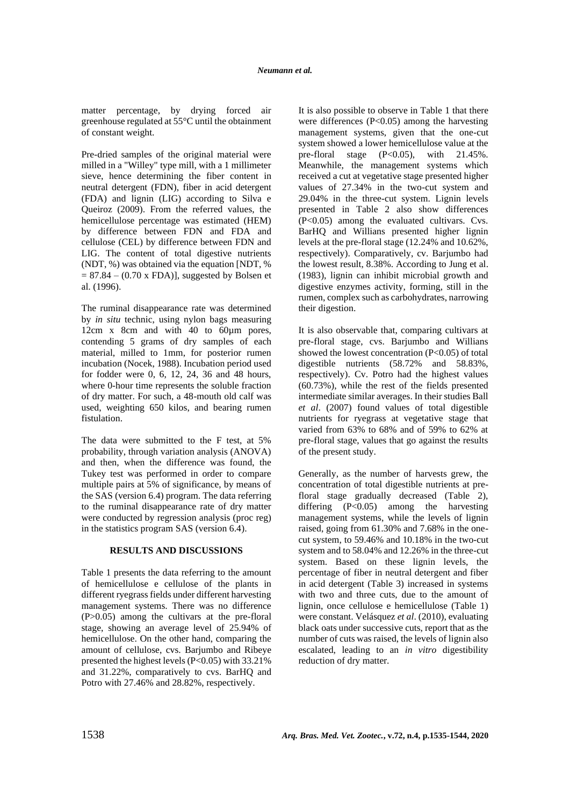matter percentage, by drying forced air greenhouse regulated at 55°C until the obtainment of constant weight.

Pre-dried samples of the original material were milled in a "Willey" type mill, with a 1 millimeter sieve, hence determining the fiber content in neutral detergent (FDN), fiber in acid detergent (FDA) and lignin (LIG) according to Silva e Queiroz (2009). From the referred values, the hemicellulose percentage was estimated (HEM) by difference between FDN and FDA and cellulose (CEL) by difference between FDN and LIG. The content of total digestive nutrients (NDT, %) was obtained via the equation [NDT, %  $= 87.84 - (0.70 \text{ x FDA})$ , suggested by Bolsen et al. (1996).

The ruminal disappearance rate was determined by *in situ* technic, using nylon bags measuring 12cm x 8cm and with 40 to 60um pores, contending 5 grams of dry samples of each material, milled to 1mm, for posterior rumen incubation (Nocek, 1988). Incubation period used for fodder were 0, 6, 12, 24, 36 and 48 hours, where 0-hour time represents the soluble fraction of dry matter. For such, a 48-mouth old calf was used, weighting 650 kilos, and bearing rumen fistulation.

The data were submitted to the F test, at 5% probability, through variation analysis (ANOVA) and then, when the difference was found, the Tukey test was performed in order to compare multiple pairs at 5% of significance, by means of the SAS (version 6.4) program. The data referring to the ruminal disappearance rate of dry matter were conducted by regression analysis (proc reg) in the statistics program SAS (version 6.4).

#### **RESULTS AND DISCUSSIONS**

Table 1 presents the data referring to the amount of hemicellulose e cellulose of the plants in different ryegrass fields under different harvesting management systems. There was no difference (P>0.05) among the cultivars at the pre-floral stage, showing an average level of 25.94% of hemicellulose. On the other hand, comparing the amount of cellulose, cvs. Barjumbo and Ribeye presented the highest levels (P<0.05) with 33.21% and 31.22%, comparatively to cvs. BarHQ and Potro with 27.46% and 28.82%, respectively.

It is also possible to observe in Table 1 that there were differences (P<0.05) among the harvesting management systems, given that the one-cut system showed a lower hemicellulose value at the pre-floral stage  $(P<0.05)$ , with  $21.45\%$ . Meanwhile, the management systems which received a cut at vegetative stage presented higher values of 27.34% in the two-cut system and 29.04% in the three-cut system. Lignin levels presented in Table 2 also show differences (P<0.05) among the evaluated cultivars. Cvs. BarHQ and Willians presented higher lignin levels at the pre-floral stage (12.24% and 10.62%, respectively). Comparatively, cv. Barjumbo had the lowest result, 8.38%. According to Jung et al. (1983), lignin can inhibit microbial growth and digestive enzymes activity, forming, still in the rumen, complex such as carbohydrates, narrowing their digestion.

It is also observable that, comparing cultivars at pre-floral stage, cvs. Barjumbo and Willians showed the lowest concentration  $(P<0.05)$  of total digestible nutrients (58.72% and 58.83%, respectively). Cv. Potro had the highest values (60.73%), while the rest of the fields presented intermediate similar averages. In their studies Ball *et al*. (2007) found values of total digestible nutrients for ryegrass at vegetative stage that varied from 63% to 68% and of 59% to 62% at pre-floral stage, values that go against the results of the present study.

Generally, as the number of harvests grew, the concentration of total digestible nutrients at prefloral stage gradually decreased (Table 2), differing (P<0.05) among the harvesting management systems, while the levels of lignin raised, going from 61.30% and 7.68% in the onecut system, to 59.46% and 10.18% in the two-cut system and to 58.04% and 12.26% in the three-cut system. Based on these lignin levels, the percentage of fiber in neutral detergent and fiber in acid detergent (Table 3) increased in systems with two and three cuts, due to the amount of lignin, once cellulose e hemicellulose (Table 1) were constant. Velásquez *et al*. (2010), evaluating black oats under successive cuts, report that as the number of cuts was raised, the levels of lignin also escalated, leading to an *in vitro* digestibility reduction of dry matter.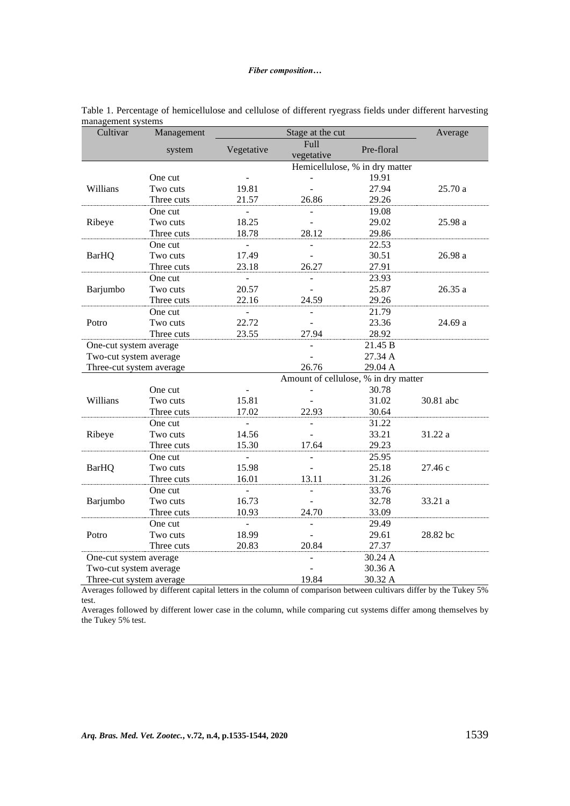## *Fiber composition…*

| Cultivar                 | Management |                                | Average            |                                      |           |  |  |  |  |
|--------------------------|------------|--------------------------------|--------------------|--------------------------------------|-----------|--|--|--|--|
|                          | system     | Vegetative                     | Full<br>vegetative | Pre-floral                           |           |  |  |  |  |
|                          |            | Hemicellulose, % in dry matter |                    |                                      |           |  |  |  |  |
|                          | One cut    |                                |                    | 19.91                                |           |  |  |  |  |
| Willians                 | Two cuts   | 19.81                          |                    | 27.94                                | 25.70a    |  |  |  |  |
|                          | Three cuts | 21.57                          | 26.86              | 29.26                                |           |  |  |  |  |
|                          | One cut    | $\blacksquare$                 | ÷.                 | 19.08                                |           |  |  |  |  |
| Ribeye                   | Two cuts   | 18.25                          |                    | 29.02                                | 25.98 a   |  |  |  |  |
|                          | Three cuts | 18.78                          | 28.12              | 29.86                                |           |  |  |  |  |
|                          | One cut    | $\overline{a}$                 |                    | 22.53                                |           |  |  |  |  |
| <b>BarHQ</b>             | Two cuts   | 17.49                          |                    | 30.51                                | $26.98a$  |  |  |  |  |
|                          | Three cuts | 23.18                          | 26.27              | 27.91                                |           |  |  |  |  |
|                          | One cut    | $\overline{a}$                 |                    | 23.93                                |           |  |  |  |  |
| Barjumbo                 | Two cuts   | 20.57                          |                    | 25.87                                | 26.35 a   |  |  |  |  |
|                          | Three cuts | 22.16                          | 24.59              | 29.26                                |           |  |  |  |  |
|                          | One cut    |                                |                    | 21.79                                |           |  |  |  |  |
| Potro                    | Two cuts   | 22.72                          |                    | 23.36                                | 24.69 a   |  |  |  |  |
|                          | Three cuts | 23.55                          | 27.94              | 28.92                                |           |  |  |  |  |
| One-cut system average   |            |                                |                    | 21.45 B                              |           |  |  |  |  |
| Two-cut system average   |            |                                |                    | 27.34 A                              |           |  |  |  |  |
| Three-cut system average |            |                                | 26.76              | 29.04 A                              |           |  |  |  |  |
|                          |            |                                |                    | Amount of cellulose, % in dry matter |           |  |  |  |  |
|                          | One cut    |                                |                    | 30.78                                |           |  |  |  |  |
| Willians                 | Two cuts   | 15.81                          |                    | 31.02                                | 30.81 abc |  |  |  |  |
|                          | Three cuts | 17.02                          | 22.93              | 30.64                                |           |  |  |  |  |
|                          | One cut    | ÷,                             | $\blacksquare$     | 31.22                                |           |  |  |  |  |
| Ribeye                   | Two cuts   | 14.56                          |                    | 33.21                                | 31.22 a   |  |  |  |  |
|                          | Three cuts | 15.30                          | 17.64              | 29.23                                |           |  |  |  |  |
|                          | One cut    | $\equiv$                       | $\overline{a}$     | 25.95                                |           |  |  |  |  |
| <b>BarHQ</b>             | Two cuts   | 15.98                          |                    | 25.18                                | 27.46 c   |  |  |  |  |
|                          | Three cuts | 16.01                          | 13.11              | 31.26                                |           |  |  |  |  |
|                          | One cut    | $\overline{a}$                 | $\overline{a}$     | 33.76                                |           |  |  |  |  |
| Barjumbo                 | Two cuts   | 16.73                          |                    | 32.78                                | 33.21 a   |  |  |  |  |
|                          | Three cuts | 10.93                          | 24.70              | 33.09                                |           |  |  |  |  |
|                          | One cut    | $\equiv$                       |                    | 29.49                                |           |  |  |  |  |
| Potro                    | Two cuts   | 18.99                          |                    | 29.61                                | 28.82 bc  |  |  |  |  |
|                          | Three cuts | 20.83                          | 20.84              | 27.37                                |           |  |  |  |  |
| One-cut system average   |            |                                |                    | 30.24 A                              |           |  |  |  |  |
| Two-cut system average   |            |                                |                    | 30.36 A                              |           |  |  |  |  |
| Three-cut system average |            |                                | 19.84              | 30.32 A                              |           |  |  |  |  |

| Table 1. Percentage of hemicellulose and cellulose of different ryegrass fields under different harvesting |  |  |  |  |  |
|------------------------------------------------------------------------------------------------------------|--|--|--|--|--|
| management systems                                                                                         |  |  |  |  |  |

Averages followed by different capital letters in the column of comparison between cultivars differ by the Tukey 5% test.

Averages followed by different lower case in the column, while comparing cut systems differ among themselves by the Tukey 5% test.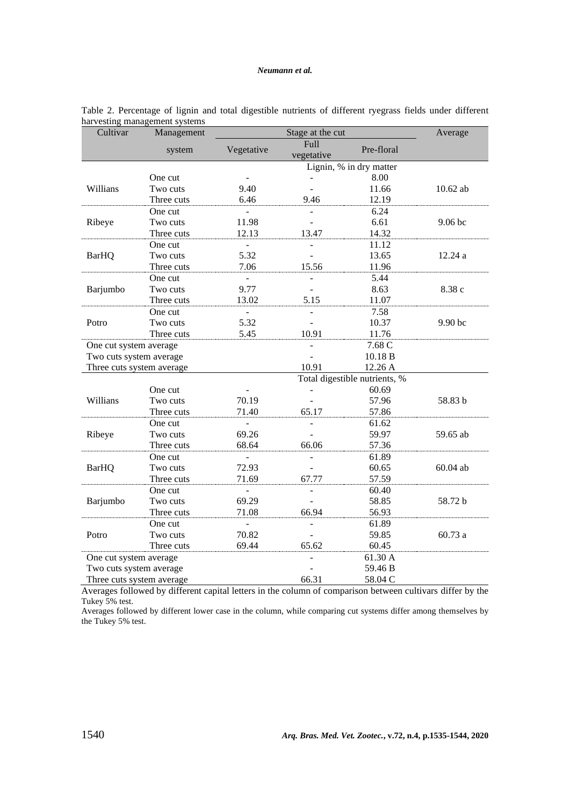| Cultivar                  | Management |                                  | Average    |                               |            |
|---------------------------|------------|----------------------------------|------------|-------------------------------|------------|
|                           | system     | Full<br>Vegetative<br>Pre-floral |            |                               |            |
|                           |            |                                  | vegetative | Lignin, % in dry matter       |            |
|                           |            |                                  |            |                               |            |
|                           | One cut    |                                  |            | 8.00                          |            |
| Willians                  | Two cuts   | 9.40                             |            | 11.66                         | $10.62$ ab |
|                           | Three cuts | 6.46                             | 9.46       | 12.19                         |            |
|                           | One cut    |                                  |            | 6.24                          |            |
| Ribeye                    | Two cuts   | 11.98                            |            | 6.61                          | 9.06 bc    |
|                           | Three cuts | 12.13                            | 13.47      | 14.32                         |            |
|                           | One cut    | $\overline{a}$                   |            | 11.12                         |            |
| <b>BarHQ</b>              | Two cuts   | 5.32                             |            | 13.65                         | 12.24 a    |
|                           | Three cuts | 7.06                             | 15.56      | 11.96                         |            |
|                           | One cut    |                                  |            | 5.44                          |            |
| Barjumbo                  | Two cuts   | 9.77                             |            | 8.63                          | 8.38 c     |
|                           | Three cuts | 13.02                            | 5.15       | 11.07                         |            |
|                           | One cut    |                                  |            | 7.58                          |            |
| Potro                     | Two cuts   | 5.32                             |            | 10.37                         | 9.90 bc    |
|                           | Three cuts | 5.45                             | 10.91      | 11.76                         |            |
| One cut system average    |            |                                  |            | 7.68 C                        |            |
| Two cuts system average   |            |                                  |            | 10.18 B                       |            |
| Three cuts system average |            |                                  | 10.91      | 12.26 A                       |            |
|                           |            |                                  |            | Total digestible nutrients, % |            |
|                           | One cut    |                                  |            | 60.69                         |            |
| Willians                  | Two cuts   | 70.19                            |            | 57.96                         | 58.83 b    |
|                           | Three cuts | 71.40                            | 65.17      | 57.86                         |            |
|                           | One cut    |                                  |            | 61.62                         |            |
| Ribeye                    | Two cuts   | 69.26                            |            | 59.97                         | 59.65 ab   |
|                           | Three cuts | 68.64                            | 66.06      | 57.36                         |            |
|                           | One cut    | $\mathbf{r}$                     |            | 61.89                         |            |
| <b>BarHQ</b>              | Two cuts   | 72.93                            |            | 60.65                         | 60.04 ab   |
|                           | Three cuts | 71.69                            | 67.77      | 57.59                         |            |
|                           | One cut    |                                  |            | 60.40                         |            |
| Barjumbo                  | Two cuts   | 69.29                            |            | 58.85                         | 58.72 b    |
|                           | Three cuts | 71.08                            | 66.94      | 56.93                         |            |
|                           | One cut    | $\overline{a}$                   |            | 61.89                         |            |
| Potro                     | Two cuts   | 70.82                            |            | 59.85                         | 60.73a     |
|                           | Three cuts | 69.44                            | 65.62      | 60.45                         |            |
| One cut system average    |            |                                  |            | 61.30 A                       |            |
| Two cuts system average   |            |                                  |            | 59.46 B                       |            |
| Three cuts system average |            |                                  | 66.31      | 58.04 C                       |            |

| Table 2. Percentage of lignin and total digestible nutrients of different ryegrass fields under different |  |  |  |  |  |  |
|-----------------------------------------------------------------------------------------------------------|--|--|--|--|--|--|
| harvesting management systems                                                                             |  |  |  |  |  |  |

Averages followed by different capital letters in the column of comparison between cultivars differ by the Tukey 5% test.

Averages followed by different lower case in the column, while comparing cut systems differ among themselves by the Tukey 5% test.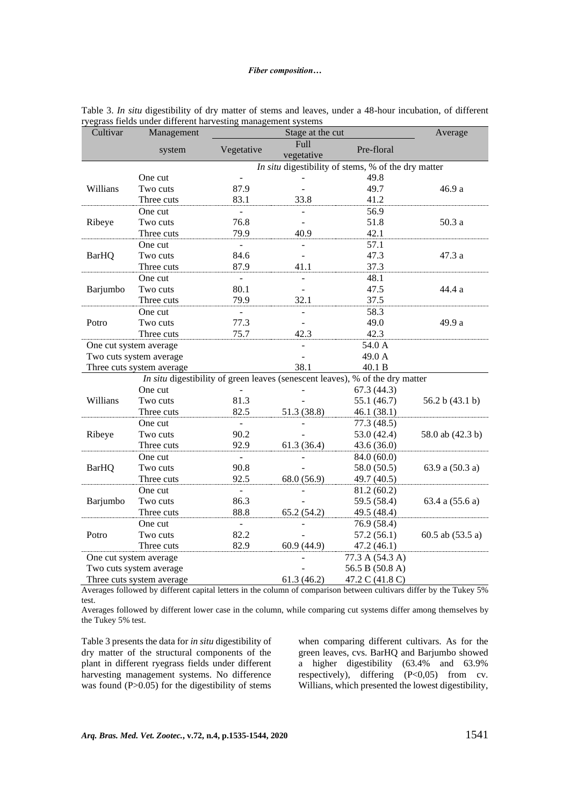| Cultivar     | Management                |                                                     | Stage at the cut | Average                                                                       |                   |
|--------------|---------------------------|-----------------------------------------------------|------------------|-------------------------------------------------------------------------------|-------------------|
|              | system                    | Full<br>Vegetative<br>vegetative                    |                  | Pre-floral                                                                    |                   |
|              |                           | In situ digestibility of stems, % of the dry matter |                  |                                                                               |                   |
|              | One cut                   |                                                     |                  | 49.8                                                                          |                   |
| Willians     | Two cuts                  | 87.9                                                |                  | 49.7                                                                          | 46.9 a            |
|              | Three cuts                | 83.1                                                | 33.8             | 41.2                                                                          |                   |
|              | One cut                   | $\mathbf{r}$                                        | $\sim$           | 56.9                                                                          |                   |
| Ribeye       | Two cuts                  | 76.8                                                |                  | 51.8                                                                          | 50.3a             |
|              | Three cuts                | 79.9                                                | 40.9             | 42.1                                                                          |                   |
|              | One cut                   | ÷,                                                  |                  | 57.1                                                                          |                   |
| <b>BarHQ</b> | Two cuts                  | 84.6                                                |                  | 47.3                                                                          | 47.3 a            |
|              | Three cuts                | 87.9                                                | 41.1             | 37.3                                                                          |                   |
|              | One cut                   |                                                     |                  | 48.1                                                                          |                   |
| Barjumbo     | Two cuts                  | 80.1                                                |                  | 47.5                                                                          | 44.4 a            |
|              | Three cuts                | 79.9                                                | 32.1             | 37.5                                                                          |                   |
|              | One cut                   | $\overline{a}$                                      |                  | 58.3                                                                          |                   |
| Potro        | Two cuts                  | 77.3                                                |                  | 49.0                                                                          | 49.9 a            |
|              | Three cuts                | 75.7                                                | 42.3             | 42.3                                                                          |                   |
|              | One cut system average    |                                                     |                  | 54.0 A                                                                        |                   |
|              | Two cuts system average   |                                                     |                  | 49.0 A                                                                        |                   |
|              | Three cuts system average |                                                     | 38.1             | 40.1 B                                                                        |                   |
|              |                           |                                                     |                  | In situ digestibility of green leaves (senescent leaves), % of the dry matter |                   |
|              | One cut                   |                                                     |                  | 67.3(44.3)                                                                    |                   |
| Willians     | Two cuts                  | 81.3                                                |                  | 55.1 (46.7)                                                                   | 56.2 b $(43.1 b)$ |
|              | Three cuts                | 82.5                                                | 51.3 (38.8)      | 46.1(38.1)                                                                    |                   |
|              | One cut                   | $\overline{a}$                                      |                  | 77.3 (48.5)                                                                   |                   |
| Ribeye       | Two cuts                  | 90.2                                                |                  | 53.0 (42.4)                                                                   | 58.0 ab (42.3 b)  |
|              | Three cuts                | 92.9                                                | 61.3(36.4)       | 43.6 (36.0)                                                                   |                   |
|              | One cut                   | $\mathbb{Z}^{\mathbb{Z}}$                           |                  | 84.0 (60.0)                                                                   |                   |
| <b>BarHQ</b> | Two cuts                  | 90.8                                                |                  | 58.0 (50.5)                                                                   | 63.9 a (50.3 a)   |
|              | Three cuts                | 92.5                                                | 68.0 (56.9)      | 49.7 (40.5)                                                                   |                   |
|              | One cut                   | $\mathbb{R}^{\mathbb{Z}}$                           |                  | 81.2 (60.2)                                                                   |                   |
| Barjumbo     | Two cuts                  | 86.3                                                |                  | 59.5 (58.4)                                                                   | 63.4 a (55.6 a)   |
|              | Three cuts                | 88.8                                                | 65.2(54.2)       | 49.5 (48.4)                                                                   |                   |
|              | One cut                   | $\mathbf{r}$                                        |                  | 76.9 (58.4)                                                                   |                   |
| Potro        | Two cuts                  | 82.2                                                |                  | 57.2(56.1)                                                                    | 60.5 ab (53.5 a)  |
|              | Three cuts                | 82.9                                                | 60.9(44.9)       | 47.2 (46.1)                                                                   |                   |
|              | One cut system average    |                                                     |                  | 77.3 A (54.3 A)                                                               |                   |
|              | Two cuts system average   |                                                     |                  | 56.5 B (50.8 A)                                                               |                   |
|              | Three cuts system average |                                                     | 61.3(46.2)       | 47.2 C (41.8 C)                                                               |                   |

|  | Table 3. In situ digestibility of dry matter of stems and leaves, under a 48-hour incubation, of different |  |  |  |  |  |
|--|------------------------------------------------------------------------------------------------------------|--|--|--|--|--|
|  | ryegrass fields under different harvesting management systems                                              |  |  |  |  |  |

Averages followed by different capital letters in the column of comparison between cultivars differ by the Tukey 5% test.

Averages followed by different lower case in the column, while comparing cut systems differ among themselves by the Tukey 5% test.

Table 3 presents the data for *in situ* digestibility of dry matter of the structural components of the plant in different ryegrass fields under different harvesting management systems. No difference was found (P>0.05) for the digestibility of stems when comparing different cultivars. As for the green leaves, cvs. BarHQ and Barjumbo showed a higher digestibility (63.4% and 63.9% respectively), differing (P<0,05) from cv. Willians, which presented the lowest digestibility,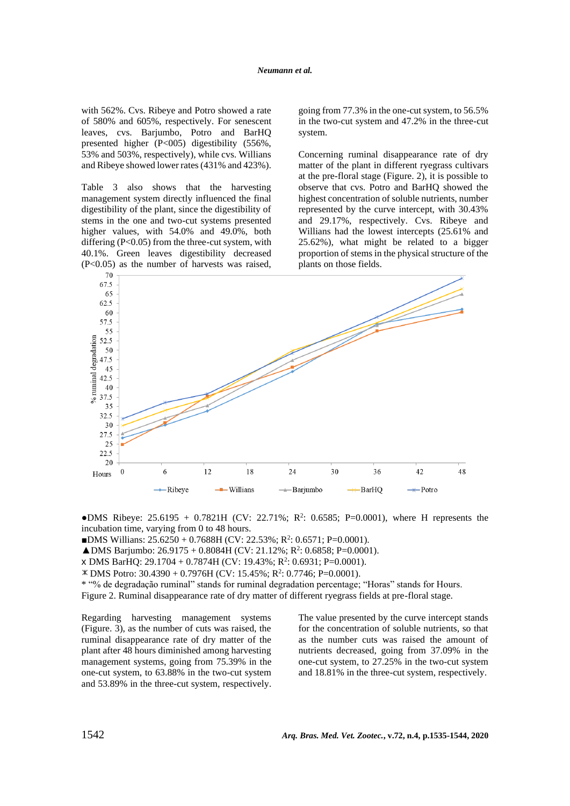with 562%. Cvs. Ribeye and Potro showed a rate of 580% and 605%, respectively. For senescent leaves, cvs. Barjumbo, Potro and BarHQ presented higher (P<005) digestibility (556%, 53% and 503%, respectively), while cvs. Willians and Ribeye showed lower rates (431% and 423%).

Table 3 also shows that the harvesting management system directly influenced the final digestibility of the plant, since the digestibility of stems in the one and two-cut systems presented higher values, with 54.0% and 49.0%, both differing (P<0.05) from the three-cut system, with 40.1%. Green leaves digestibility decreased (P<0.05) as the number of harvests was raised, going from 77.3% in the one-cut system, to 56.5% in the two-cut system and 47.2% in the three-cut system.

Concerning ruminal disappearance rate of dry matter of the plant in different ryegrass cultivars at the pre-floral stage (Figure. 2), it is possible to observe that cvs. Potro and BarHQ showed the highest concentration of soluble nutrients, number represented by the curve intercept, with 30.43% and 29.17%, respectively. Cvs. Ribeye and Willians had the lowest intercepts (25.61% and 25.62%), what might be related to a bigger proportion of stems in the physical structure of the plants on those fields.



•DMS Ribeye:  $25.6195 + 0.7821H$  (CV: 22.71%; R<sup>2</sup>: 0.6585; P=0.0001), where H represents the incubation time, varying from 0 to 48 hours.

■DMS Willians:  $25.6250 + 0.7688H$  (CV: 22.53%; R<sup>2</sup>: 0.6571; P=0.0001).

 $\triangle$ DMS Barjumbo: 26.9175 + 0.8084H (CV: 21.12%; R<sup>2</sup>: 0.6858; P=0.0001).

x DMS BarHQ:  $29.1704 + 0.7874H$  (CV: 19.43%; R<sup>2</sup>: 0.6931; P=0.0001).

DMS Potro: 30.4390 + 0.7976H (CV: 15.45%; R<sup>2</sup>: 0.7746; P=0.0001).

\* "% de degradação ruminal" stands for ruminal degradation percentage; "Horas" stands for Hours.

Figure 2. Ruminal disappearance rate of dry matter of different ryegrass fields at pre-floral stage.

Regarding harvesting management systems (Figure. 3), as the number of cuts was raised, the ruminal disappearance rate of dry matter of the plant after 48 hours diminished among harvesting management systems, going from 75.39% in the one-cut system, to 63.88% in the two-cut system and 53.89% in the three-cut system, respectively. The value presented by the curve intercept stands for the concentration of soluble nutrients, so that as the number cuts was raised the amount of nutrients decreased, going from 37.09% in the one-cut system, to 27.25% in the two-cut system and 18.81% in the three-cut system, respectively.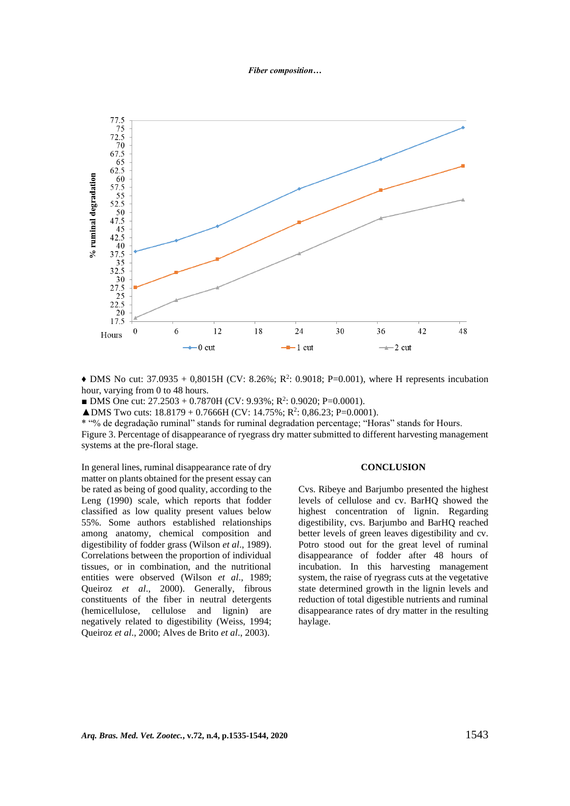#### *Fiber composition…*



 $\triangle$  DMS No cut: 37.0935 + 0,8015H (CV: 8.26%; R<sup>2</sup>: 0.9018; P=0.001), where H represents incubation hour, varying from 0 to 48 hours.

■ DMS One cut:  $27.2503 + 0.7870H$  (CV: 9.93%; R<sup>2</sup>: 0.9020; P=0.0001).

 $\triangle$ DMS Two cuts: 18.8179 + 0.7666H (CV: 14.75%; R<sup>2</sup>: 0,86.23; P=0.0001).

\* "% de degradação ruminal" stands for ruminal degradation percentage; "Horas" stands for Hours.

Figure 3. Percentage of disappearance of ryegrass dry matter submitted to different harvesting management systems at the pre-floral stage.

In general lines, ruminal disappearance rate of dry matter on plants obtained for the present essay can be rated as being of good quality, according to the Leng (1990) scale, which reports that fodder classified as low quality present values below 55%. Some authors established relationships among anatomy, chemical composition and digestibility of fodder grass (Wilson *et al*., 1989). Correlations between the proportion of individual tissues, or in combination, and the nutritional entities were observed (Wilson *et al*., 1989; Queiroz *et al*., 2000). Generally, fibrous constituents of the fiber in neutral detergents (hemicellulose, cellulose and lignin) are negatively related to digestibility (Weiss, 1994; Queiroz *et al*., 2000; Alves de Brito *et al*., 2003).

#### **CONCLUSION**

Cvs. Ribeye and Barjumbo presented the highest levels of cellulose and cv. BarHQ showed the highest concentration of lignin. Regarding digestibility, cvs. Barjumbo and BarHQ reached better levels of green leaves digestibility and cv. Potro stood out for the great level of ruminal disappearance of fodder after 48 hours of incubation. In this harvesting management system, the raise of ryegrass cuts at the vegetative state determined growth in the lignin levels and reduction of total digestible nutrients and ruminal disappearance rates of dry matter in the resulting haylage.